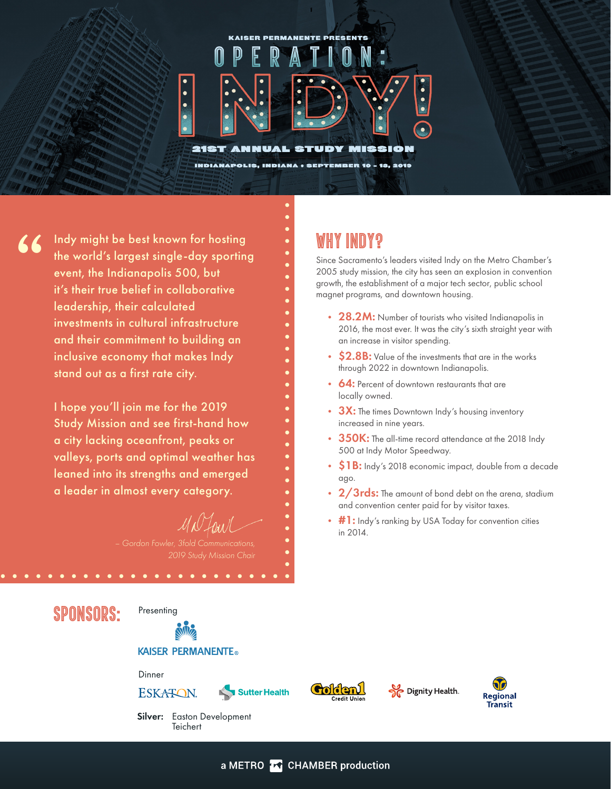# **KAISER PERMANENTE PRESENTS**  $\mathbb{D}$

STUDY

INDIANAPOLIS, INDIANA : SEPTEMBER 10 - 13, 2019

Indy might be best known for hosting the world's largest single-day sporting event, the Indianapolis 500, but it's their true belief in collaborative leadership, their calculated investments in cultural infrastructure and their commitment to building an inclusive economy that makes Indy stand out as a first rate city. **"**

 $\overline{\cdot}$  $\bullet$ 

**21ST** 

**AMMUAL** 

I hope you'll join me for the 2019 Study Mission and see first-hand how a city lacking oceanfront, peaks or valleys, ports and optimal weather has leaned into its strengths and emerged a leader in almost every category.

### *– Gordon Fowler, 3fold Communications, 2019 Study Mission Chair*

## SPONSORS:

**Presenting** 

**KAISER PERMANENTE®** 

#### Dinner

**ESKATON** 











Silver: Easton Development **Teichert** 

## Why Indy?

MISSION

Since Sacramento's leaders visited Indy on the Metro Chamber's 2005 study mission, the city has seen an explosion in convention growth, the establishment of a major tech sector, public school magnet programs, and downtown housing.

- 28.2M: Number of tourists who visited Indianapolis in 2016, the most ever. It was the city's sixth straight year with an increase in visitor spending.
- **\$2.8B:** Value of the investments that are in the works through 2022 in downtown Indianapolis.
- **64:** Percent of downtown restaurants that are locally owned.
- 3X: The times Downtown Indy's housing inventory increased in nine years.
- 350K: The all-time record attendance at the 2018 Indy 500 at Indy Motor Speedway.
- \$1B: Indy's 2018 economic impact, double from a decade ago.
- 2/3rds: The amount of bond debt on the arena, stadium and convention center paid for by visitor taxes.
- #1: Indy's ranking by USA Today for convention cities in 2014.